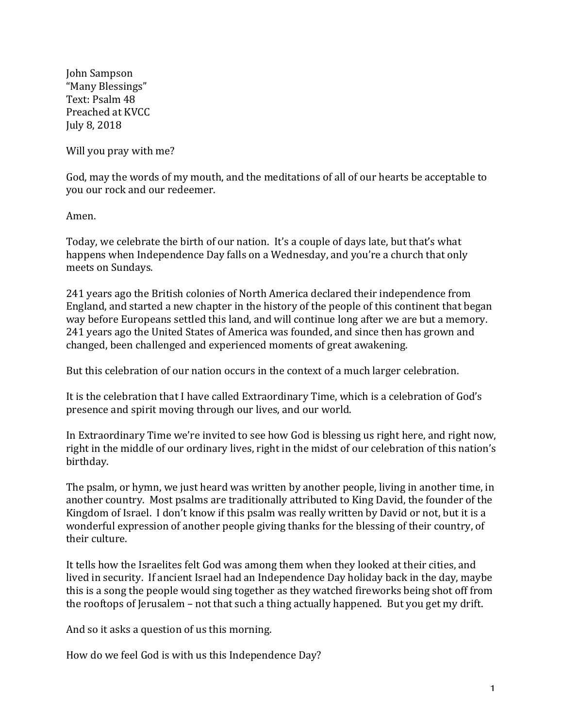John Sampson "Many Blessings" Text: Psalm 48 Preached at KVCC July 8, 2018

Will you pray with me?

God, may the words of my mouth, and the meditations of all of our hearts be acceptable to you our rock and our redeemer.

Amen.

Today, we celebrate the birth of our nation. It's a couple of days late, but that's what happens when Independence Day falls on a Wednesday, and you're a church that only meets on Sundays.

241 years ago the British colonies of North America declared their independence from England, and started a new chapter in the history of the people of this continent that began way before Europeans settled this land, and will continue long after we are but a memory. 241 years ago the United States of America was founded, and since then has grown and changed, been challenged and experienced moments of great awakening.

But this celebration of our nation occurs in the context of a much larger celebration.

It is the celebration that I have called Extraordinary Time, which is a celebration of God's presence and spirit moving through our lives, and our world.

In Extraordinary Time we're invited to see how God is blessing us right here, and right now, right in the middle of our ordinary lives, right in the midst of our celebration of this nation's birthday.

The psalm, or hymn, we just heard was written by another people, living in another time, in another country. Most psalms are traditionally attributed to King David, the founder of the Kingdom of Israel. I don't know if this psalm was really written by David or not, but it is a wonderful expression of another people giving thanks for the blessing of their country, of their culture.

It tells how the Israelites felt God was among them when they looked at their cities, and lived in security. If ancient Israel had an Independence Day holiday back in the day, maybe this is a song the people would sing together as they watched fireworks being shot off from the rooftops of Jerusalem – not that such a thing actually happened. But you get my drift.

And so it asks a question of us this morning.

How do we feel God is with us this Independence Day?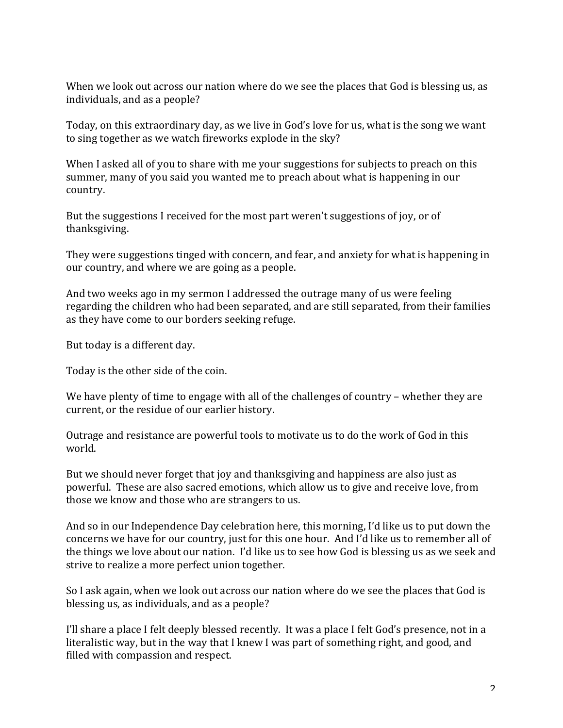When we look out across our nation where do we see the places that God is blessing us, as individuals, and as a people?

Today, on this extraordinary day, as we live in God's love for us, what is the song we want to sing together as we watch fireworks explode in the sky?

When I asked all of you to share with me your suggestions for subjects to preach on this summer, many of you said you wanted me to preach about what is happening in our country.

But the suggestions I received for the most part weren't suggestions of joy, or of thanksgiving.

They were suggestions tinged with concern, and fear, and anxiety for what is happening in our country, and where we are going as a people.

And two weeks ago in my sermon I addressed the outrage many of us were feeling regarding the children who had been separated, and are still separated, from their families as they have come to our borders seeking refuge.

But today is a different day.

Today is the other side of the coin.

We have plenty of time to engage with all of the challenges of country – whether they are current, or the residue of our earlier history.

Outrage and resistance are powerful tools to motivate us to do the work of God in this world.

But we should never forget that joy and thanksgiving and happiness are also just as powerful. These are also sacred emotions, which allow us to give and receive love, from those we know and those who are strangers to us.

And so in our Independence Day celebration here, this morning, I'd like us to put down the concerns we have for our country, just for this one hour. And I'd like us to remember all of the things we love about our nation. I'd like us to see how God is blessing us as we seek and strive to realize a more perfect union together.

So I ask again, when we look out across our nation where do we see the places that God is blessing us, as individuals, and as a people?

I'll share a place I felt deeply blessed recently. It was a place I felt God's presence, not in a literalistic way, but in the way that I knew I was part of something right, and good, and filled with compassion and respect.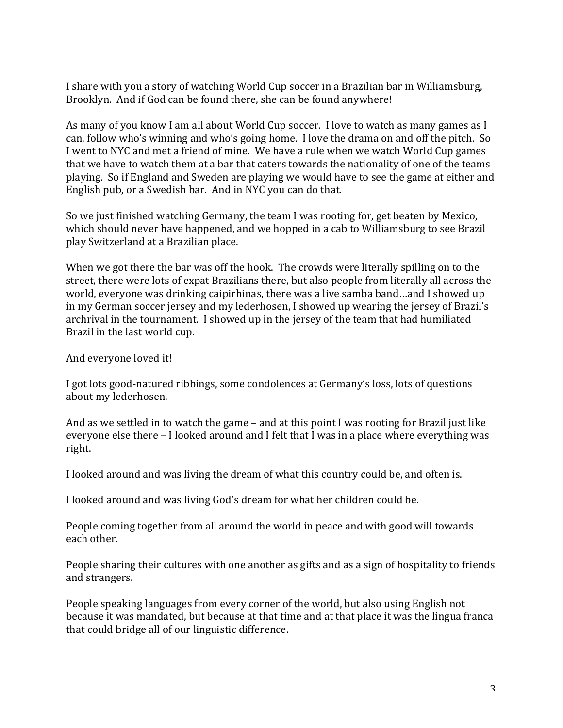I share with you a story of watching World Cup soccer in a Brazilian bar in Williamsburg, Brooklyn. And if God can be found there, she can be found anywhere!

As many of you know I am all about World Cup soccer. I love to watch as many games as I can, follow who's winning and who's going home. I love the drama on and off the pitch. So I went to NYC and met a friend of mine. We have a rule when we watch World Cup games that we have to watch them at a bar that caters towards the nationality of one of the teams playing. So if England and Sweden are playing we would have to see the game at either and English pub, or a Swedish bar. And in NYC you can do that.

So we just finished watching Germany, the team I was rooting for, get beaten by Mexico, which should never have happened, and we hopped in a cab to Williamsburg to see Brazil play Switzerland at a Brazilian place.

When we got there the bar was off the hook. The crowds were literally spilling on to the street, there were lots of expat Brazilians there, but also people from literally all across the world, everyone was drinking caipirhinas, there was a live samba band...and I showed up in my German soccer jersey and my lederhosen, I showed up wearing the jersey of Brazil's archrival in the tournament. I showed up in the jersey of the team that had humiliated Brazil in the last world cup.

And everyone loved it!

I got lots good-natured ribbings, some condolences at Germany's loss, lots of questions about my lederhosen.

And as we settled in to watch the game  $-$  and at this point I was rooting for Brazil just like everyone else there – I looked around and I felt that I was in a place where everything was right.

I looked around and was living the dream of what this country could be, and often is.

I looked around and was living God's dream for what her children could be.

People coming together from all around the world in peace and with good will towards each other.

People sharing their cultures with one another as gifts and as a sign of hospitality to friends and strangers.

People speaking languages from every corner of the world, but also using English not because it was mandated, but because at that time and at that place it was the lingua franca that could bridge all of our linguistic difference.